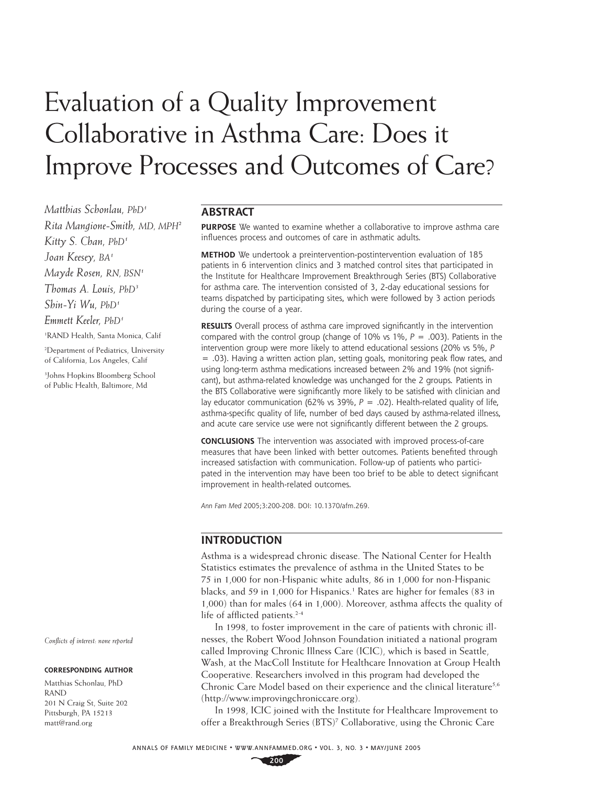# Evaluation of a Quality Improvement Collaborative in Asthma Care: Does it Improve Processes and Outcomes of Care?

*Matthias Schonlau, PhD1 Rita Mangione-Smith, MD, MPH2 Kitty S. Chan, PhD1 Joan Keesey, BA1 Mayde Rosen, RN, BSN1 Thomas A. Louis, PhD3 Shin-Yi Wu, PhD1 Emmett Keeler, PhD1* 1 RAND Health, Santa Monica, Calif

2 Department of Pediatrics, University of California, Los Angeles, Calif

3 Johns Hopkins Bloomberg School of Public Health, Baltimore, Md

*Confl icts of interest: none reported*

#### **CORRESPONDING AUTHOR**

Matthias Schonlau, PhD RAND 201 N Craig St, Suite 202 Pittsburgh, PA 15213 matt@rand.org

## **ABSTRACT**

**PURPOSE** We wanted to examine whether a collaborative to improve asthma care influences process and outcomes of care in asthmatic adults.

**METHOD** We undertook a preintervention-postintervention evaluation of 185 patients in 6 intervention clinics and 3 matched control sites that participated in the Institute for Healthcare Improvement Breakthrough Series (BTS) Collaborative for asthma care. The intervention consisted of 3, 2-day educational sessions for teams dispatched by participating sites, which were followed by 3 action periods during the course of a year.

**RESULTS** Overall process of asthma care improved significantly in the intervention compared with the control group (change of 10% vs 1%, *P* = .003). Patients in the intervention group were more likely to attend educational sessions (20% vs 5%, *P*

 $= .03$ ). Having a written action plan, setting goals, monitoring peak flow rates, and using long-term asthma medications increased between 2% and 19% (not significant), but asthma-related knowledge was unchanged for the 2 groups. Patients in the BTS Collaborative were significantly more likely to be satisfied with clinician and lay educator communication (62% vs 39%, *P* = .02). Health-related quality of life, asthma-specific quality of life, number of bed days caused by asthma-related illness, and acute care service use were not significantly different between the 2 groups.

**CONCLUSIONS** The intervention was associated with improved process-of-care measures that have been linked with better outcomes. Patients benefited through increased satisfaction with communication. Follow-up of patients who participated in the intervention may have been too brief to be able to detect significant improvement in health-related outcomes.

*Ann Fam Med* 2005;3:200-208. DOI: 10.1370/afm.269.

## **INTRODUCTION**

Asthma is a widespread chronic disease. The National Center for Health Statistics estimates the prevalence of asthma in the United States to be 75 in 1,000 for non-Hispanic white adults, 86 in 1,000 for non-Hispanic blacks, and 59 in 1,000 for Hispanics.<sup>1</sup> Rates are higher for females (83 in 1,000) than for males (64 in 1,000). Moreover, asthma affects the quality of life of afflicted patients.<sup>2-4</sup>

In 1998, to foster improvement in the care of patients with chronic illnesses, the Robert Wood Johnson Foundation initiated a national program called Improving Chronic Illness Care (ICIC), which is based in Seattle, Wash, at the MacColl Institute for Healthcare Innovation at Group Health Cooperative. Researchers involved in this program had developed the Chronic Care Model based on their experience and the clinical literature<sup>5,6</sup> (http://www.improvingchroniccare.org).

In 1998, ICIC joined with the Institute for Healthcare Improvement to offer a Breakthrough Series (BTS)<sup>7</sup> Collaborative, using the Chronic Care

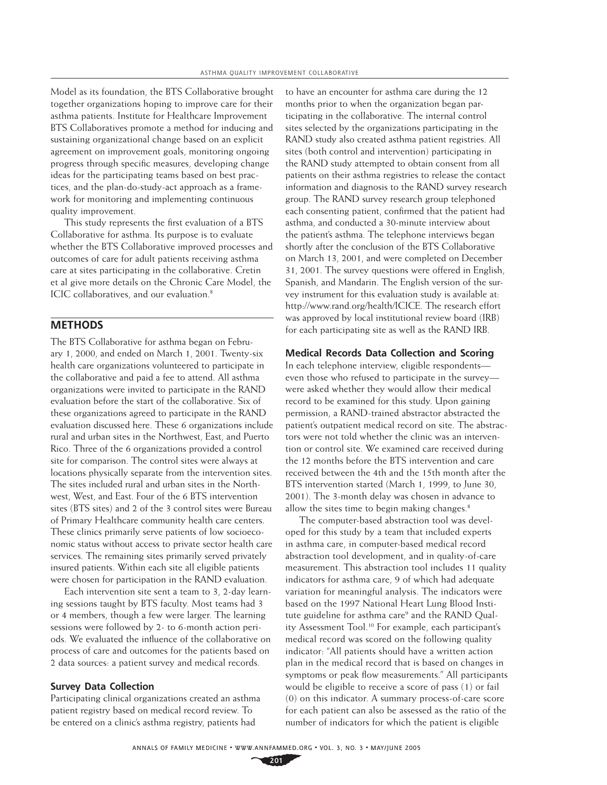Model as its foundation, the BTS Collaborative brought together organizations hoping to improve care for their asthma patients. Institute for Healthcare Improvement BTS Collaboratives promote a method for inducing and sustaining organizational change based on an explicit agreement on improvement goals, monitoring ongoing progress through specific measures, developing change ideas for the participating teams based on best practices, and the plan-do-study-act approach as a framework for monitoring and implementing continuous quality improvement.

This study represents the first evaluation of a BTS Collaborative for asthma. Its purpose is to evaluate whether the BTS Collaborative improved processes and outcomes of care for adult patients receiving asthma care at sites participating in the collaborative. Cretin et al give more details on the Chronic Care Model, the ICIC collaboratives, and our evaluation.<sup>8</sup>

## **METHODS**

The BTS Collaborative for asthma began on February 1, 2000, and ended on March 1, 2001. Twenty-six health care organizations volunteered to participate in the collaborative and paid a fee to attend. All asthma organizations were invited to participate in the RAND evaluation before the start of the collaborative. Six of these organizations agreed to participate in the RAND evaluation discussed here. These 6 organizations include rural and urban sites in the Northwest, East, and Puerto Rico. Three of the 6 organizations provided a control site for comparison. The control sites were always at locations physically separate from the intervention sites. The sites included rural and urban sites in the Northwest, West, and East. Four of the 6 BTS intervention sites (BTS sites) and 2 of the 3 control sites were Bureau of Primary Healthcare community health care centers. These clinics primarily serve patients of low socioeconomic status without access to private sector health care services. The remaining sites primarily served privately insured patients. Within each site all eligible patients were chosen for participation in the RAND evaluation.

Each intervention site sent a team to 3, 2-day learning sessions taught by BTS faculty. Most teams had 3 or 4 members, though a few were larger. The learning sessions were followed by 2- to 6-month action periods. We evaluated the influence of the collaborative on process of care and outcomes for the patients based on 2 data sources: a patient survey and medical records.

## **Survey Data Collection**

Participating clinical organizations created an asthma patient registry based on medical record review. To be entered on a clinic's asthma registry, patients had

to have an encounter for asthma care during the 12 months prior to when the organization began participating in the collaborative. The internal control sites selected by the organizations participating in the RAND study also created asthma patient registries. All sites (both control and intervention) participating in the RAND study attempted to obtain consent from all patients on their asthma registries to release the contact information and diagnosis to the RAND survey research group. The RAND survey research group telephoned each consenting patient, confirmed that the patient had asthma, and conducted a 30-minute interview about the patient's asthma. The telephone interviews began shortly after the conclusion of the BTS Collaborative on March 13, 2001, and were completed on December 31, 2001. The survey questions were offered in English, Spanish, and Mandarin. The English version of the survey instrument for this evaluation study is available at: http://www.rand.org/health/ICICE. The research effort was approved by local institutional review board (IRB) for each participating site as well as the RAND IRB.

### **Medical Records Data Collection and Scoring**

In each telephone interview, eligible respondents even those who refused to participate in the survey were asked whether they would allow their medical record to be examined for this study. Upon gaining permission, a RAND-trained abstractor abstracted the patient's outpatient medical record on site. The abstractors were not told whether the clinic was an intervention or control site. We examined care received during the 12 months before the BTS intervention and care received between the 4th and the 15th month after the BTS intervention started (March 1, 1999, to June 30, 2001). The 3-month delay was chosen in advance to allow the sites time to begin making changes.<sup>8</sup>

The computer-based abstraction tool was developed for this study by a team that included experts in asthma care, in computer-based medical record abstraction tool development, and in quality-of-care measurement. This abstraction tool includes 11 quality indicators for asthma care, 9 of which had adequate variation for meaningful analysis. The indicators were based on the 1997 National Heart Lung Blood Institute guideline for asthma care<sup>9</sup> and the RAND Quality Assessment Tool.10 For example, each participant's medical record was scored on the following quality indicator: "All patients should have a written action plan in the medical record that is based on changes in symptoms or peak flow measurements." All participants would be eligible to receive a score of pass (1) or fail (0) on this indicator. A summary process-of-care score for each patient can also be assessed as the ratio of the number of indicators for which the patient is eligible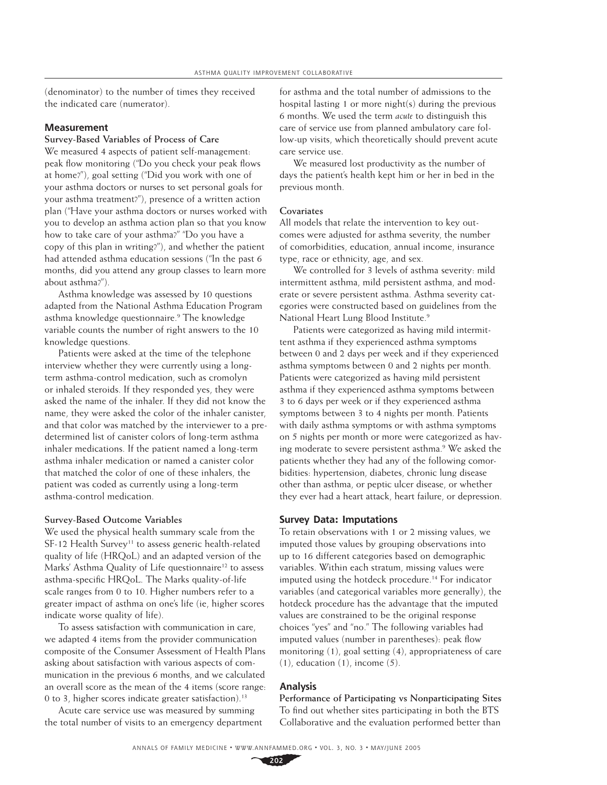(denominator) to the number of times they received the indicated care (numerator).

### **Measurement**

## **Survey-Based Variables of Process of Care**

We measured 4 aspects of patient self-management: peak flow monitoring ("Do you check your peak flows at home?"), goal setting ("Did you work with one of your asthma doctors or nurses to set personal goals for your asthma treatment?"), presence of a written action plan ("Have your asthma doctors or nurses worked with you to develop an asthma action plan so that you know how to take care of your asthma?" "Do you have a copy of this plan in writing?"), and whether the patient had attended asthma education sessions ("In the past 6 months, did you attend any group classes to learn more about asthma?").

Asthma knowledge was assessed by 10 questions adapted from the National Asthma Education Program asthma knowledge questionnaire.9 The knowledge variable counts the number of right answers to the 10 knowledge questions.

Patients were asked at the time of the telephone interview whether they were currently using a longterm asthma-control medication, such as cromolyn or inhaled steroids. If they responded yes, they were asked the name of the inhaler. If they did not know the name, they were asked the color of the inhaler canister, and that color was matched by the interviewer to a predetermined list of canister colors of long-term asthma inhaler medications. If the patient named a long-term asthma inhaler medication or named a canister color that matched the color of one of these inhalers, the patient was coded as currently using a long-term asthma-control medication.

#### **Survey-Based Outcome Variables**

We used the physical health summary scale from the  $SF-12$  Health Survey<sup>11</sup> to assess generic health-related quality of life (HRQoL) and an adapted version of the Marks' Asthma Quality of Life questionnaire<sup>12</sup> to assess asthma-specific HRQoL. The Marks quality-of-life scale ranges from 0 to 10. Higher numbers refer to a greater impact of asthma on one's life (ie, higher scores indicate worse quality of life).

To assess satisfaction with communication in care, we adapted 4 items from the provider communication composite of the Consumer Assessment of Health Plans asking about satisfaction with various aspects of communication in the previous 6 months, and we calculated an overall score as the mean of the 4 items (score range: 0 to 3, higher scores indicate greater satisfaction).<sup>13</sup>

Acute care service use was measured by summing the total number of visits to an emergency department

for asthma and the total number of admissions to the hospital lasting 1 or more night(s) during the previous 6 months. We used the term *acute* to distinguish this care of service use from planned ambulatory care follow-up visits, which theoretically should prevent acute care service use.

We measured lost productivity as the number of days the patient's health kept him or her in bed in the previous month.

#### **Covariates**

All models that relate the intervention to key outcomes were adjusted for asthma severity, the number of comorbidities, education, annual income, insurance type, race or ethnicity, age, and sex.

We controlled for 3 levels of asthma severity: mild intermittent asthma, mild persistent asthma, and moderate or severe persistent asthma. Asthma severity categories were constructed based on guidelines from the National Heart Lung Blood Institute.<sup>9</sup>

Patients were categorized as having mild intermittent asthma if they experienced asthma symptoms between 0 and 2 days per week and if they experienced asthma symptoms between 0 and 2 nights per month. Patients were categorized as having mild persistent asthma if they experienced asthma symptoms between 3 to 6 days per week or if they experienced asthma symptoms between 3 to 4 nights per month. Patients with daily asthma symptoms or with asthma symptoms on 5 nights per month or more were categorized as having moderate to severe persistent asthma.<sup>9</sup> We asked the patients whether they had any of the following comorbidities: hypertension, diabetes, chronic lung disease other than asthma, or peptic ulcer disease, or whether they ever had a heart attack, heart failure, or depression.

#### **Survey Data: Imputations**

To retain observations with 1 or 2 missing values, we imputed those values by grouping observations into up to 16 different categories based on demographic variables. Within each stratum, missing values were imputed using the hotdeck procedure.<sup>14</sup> For indicator variables (and categorical variables more generally), the hotdeck procedure has the advantage that the imputed values are constrained to be the original response choices "yes" and "no." The following variables had imputed values (number in parentheses): peak flow monitoring (1), goal setting (4), appropriateness of care  $(1)$ , education  $(1)$ , income  $(5)$ .

#### **Analysis**

**Performance of Participating vs Nonparticipating Sites** To find out whether sites participating in both the BTS Collaborative and the evaluation performed better than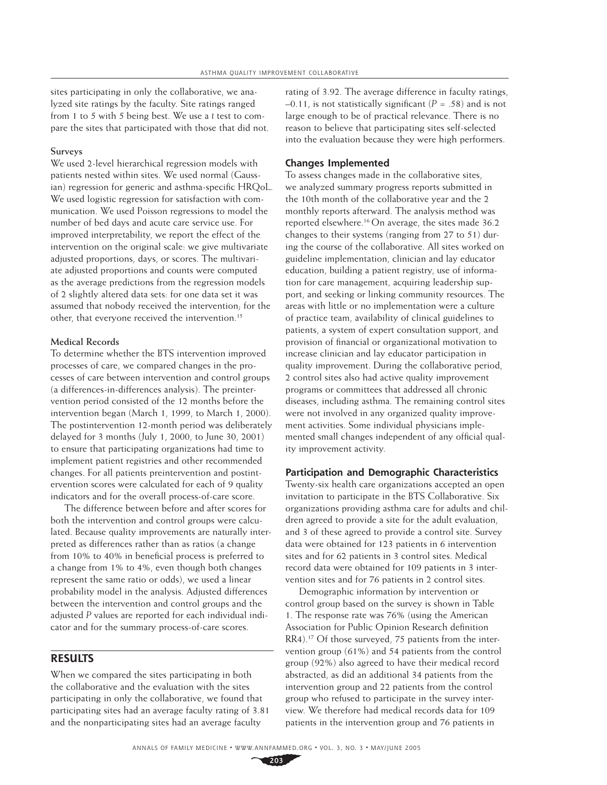sites participating in only the collaborative, we analyzed site ratings by the faculty. Site ratings ranged from 1 to 5 with 5 being best. We use a *t* test to compare the sites that participated with those that did not.

#### **Surveys**

We used 2-level hierarchical regression models with patients nested within sites. We used normal (Gaussian) regression for generic and asthma-specific HRQoL. We used logistic regression for satisfaction with communication. We used Poisson regressions to model the number of bed days and acute care service use. For improved interpretability, we report the effect of the intervention on the original scale: we give multivariate adjusted proportions, days, or scores. The multivariate adjusted proportions and counts were computed as the average predictions from the regression models of 2 slightly altered data sets: for one data set it was assumed that nobody received the intervention; for the other, that everyone received the intervention.<sup>15</sup>

#### **Medical Records**

To determine whether the BTS intervention improved processes of care, we compared changes in the processes of care between intervention and control groups (a differences-in-differences analysis). The preintervention period consisted of the 12 months before the intervention began (March 1, 1999, to March 1, 2000). The postintervention 12-month period was deliberately delayed for 3 months (July 1, 2000, to June 30, 2001) to ensure that participating organizations had time to implement patient registries and other recommended changes. For all patients preintervention and postintervention scores were calculated for each of 9 quality indicators and for the overall process-of-care score.

The difference between before and after scores for both the intervention and control groups were calculated. Because quality improvements are naturally interpreted as differences rather than as ratios (a change from 10% to 40% in beneficial process is preferred to a change from 1% to 4%, even though both changes represent the same ratio or odds), we used a linear probability model in the analysis. Adjusted differences between the intervention and control groups and the adjusted *P* values are reported for each individual indicator and for the summary process-of-care scores.

## **RESULTS**

When we compared the sites participating in both the collaborative and the evaluation with the sites participating in only the collaborative, we found that participating sites had an average faculty rating of 3.81 and the nonparticipating sites had an average faculty

rating of 3.92. The average difference in faculty ratings,  $-0.11$ , is not statistically significant ( $P = .58$ ) and is not large enough to be of practical relevance. There is no reason to believe that participating sites self-selected into the evaluation because they were high performers.

## **Changes Implemented**

To assess changes made in the collaborative sites, we analyzed summary progress reports submitted in the 10th month of the collaborative year and the 2 monthly reports afterward. The analysis method was reported elsewhere.16 On average, the sites made 36.2 changes to their systems (ranging from 27 to 51) during the course of the collaborative. All sites worked on guideline implementation, clinician and lay educator education, building a patient registry, use of information for care management, acquiring leadership support, and seeking or linking community resources. The areas with little or no implementation were a culture of practice team, availability of clinical guidelines to patients, a system of expert consultation support, and provision of financial or organizational motivation to increase clinician and lay educator participation in quality improvement. During the collaborative period, 2 control sites also had active quality improvement programs or committees that addressed all chronic diseases, including asthma. The remaining control sites were not involved in any organized quality improvement activities. Some individual physicians implemented small changes independent of any official quality improvement activity.

#### **Participation and Demographic Characteristics**

Twenty-six health care organizations accepted an open invitation to participate in the BTS Collaborative. Six organizations providing asthma care for adults and children agreed to provide a site for the adult evaluation, and 3 of these agreed to provide a control site. Survey data were obtained for 123 patients in 6 intervention sites and for 62 patients in 3 control sites. Medical record data were obtained for 109 patients in 3 intervention sites and for 76 patients in 2 control sites.

Demographic information by intervention or control group based on the survey is shown in Table 1. The response rate was 76% (using the American Association for Public Opinion Research definition RR4).<sup>17</sup> Of those surveyed, 75 patients from the intervention group (61%) and 54 patients from the control group (92%) also agreed to have their medical record abstracted, as did an additional 34 patients from the intervention group and 22 patients from the control group who refused to participate in the survey interview. We therefore had medical records data for 109 patients in the intervention group and 76 patients in

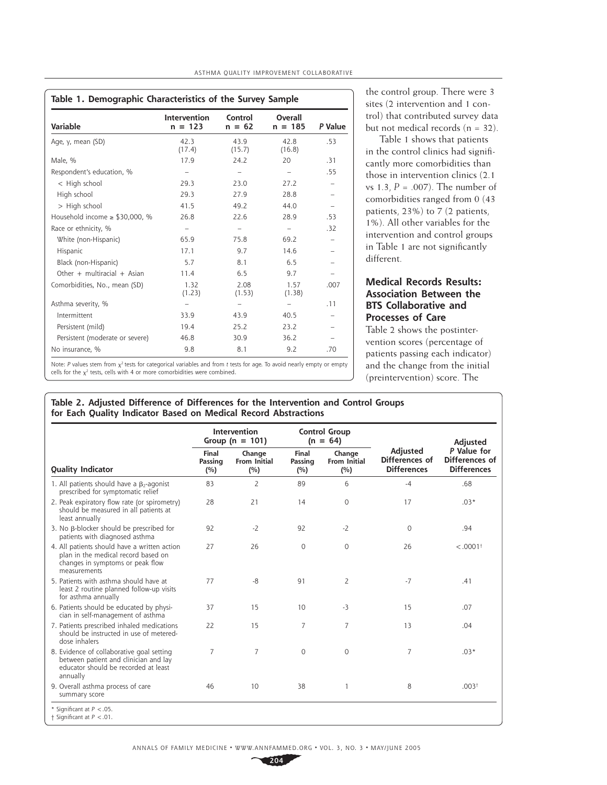|  | ASTHMA QUALITY IMPROVEMENT COLLABORATIVE |
|--|------------------------------------------|
|  |                                          |

| Table 1. Demographic Characteristics of the Survey Sample |                           |                          |                          |         |  |  |
|-----------------------------------------------------------|---------------------------|--------------------------|--------------------------|---------|--|--|
| Variable                                                  | Intervention<br>$n = 123$ | Control<br>$n = 62$      | Overall<br>$n = 185$     | P Value |  |  |
| Age, y, mean (SD)                                         | 42.3<br>(17.4)            | 43.9<br>(15.7)           | 42.8<br>(16.8)           | .53     |  |  |
| Male, %                                                   | 17.9                      | 24.2                     | 20                       | .31     |  |  |
| Respondent's education, %                                 |                           |                          | $\overline{\phantom{0}}$ | .55     |  |  |
| < High school                                             | 29.3                      | 23.0                     | 27.2                     |         |  |  |
| High school                                               | 29.3                      | 27.9                     | 28.8                     |         |  |  |
| > High school                                             | 41.5                      | 49.2                     | 44.0                     |         |  |  |
| Household income $\ge$ \$30,000, %                        | 26.8                      | 22.6                     | 28.9                     | .53     |  |  |
| Race or ethnicity, %                                      |                           | $\overline{\phantom{0}}$ | -                        | .32     |  |  |
| White (non-Hispanic)                                      | 65.9                      | 75.8                     | 69.2                     |         |  |  |
| Hispanic                                                  | 17.1                      | 9.7                      | 14.6                     |         |  |  |
| Black (non-Hispanic)                                      | 5.7                       | 8.1                      | 6.5                      |         |  |  |
| Other $+$ multiracial $+$ Asian                           | 11.4                      | 6.5                      | 9.7                      |         |  |  |
| Comorbidities, No., mean (SD)                             | 1.32<br>(1.23)            | 2.08<br>(1.53)           | 1.57<br>(1.38)           | .007    |  |  |
| Asthma severity, %                                        |                           |                          |                          | .11     |  |  |
| Intermittent                                              | 33.9                      | 43.9                     | 40.5                     |         |  |  |
| Persistent (mild)                                         | 19.4                      | 25.2                     | 23.2                     |         |  |  |
| Persistent (moderate or severe)                           | 46.8                      | 30.9                     | 36.2                     |         |  |  |
| No insurance, %                                           | 9.8                       | 8.1                      | 9.2                      | .70     |  |  |

the control group. There were 3 sites (2 intervention and 1 control) that contributed survey data but not medical records  $(n = 32)$ .

Table 1 shows that patients in the control clinics had significantly more comorbidities than those in intervention clinics (2.1 vs 1.3, *P* = .007). The number of comorbidities ranged from 0 (43 patients, 23%) to 7 (2 patients, 1%). All other variables for the intervention and control groups in Table 1 are not significantly different.

## **Medical Records Results: Association Between the BTS Collaborative and Processes of Care**

Table 2 shows the postintervention scores (percentage of patients passing each indicator) and the change from the initial (preintervention) score. The

Note: *P* values stem from  $\chi^2$  tests for categorical variables and from *t* tests for age. To avoid nearly empty or empty cells for the  $\chi^2$  tests, cells with 4 or more comorbidities were combined.

## **Table 2. Adjusted Difference of Differences for the Intervention and Control Groups for Each Quality Indicator Based on Medical Record Abstractions**

|                                                                                                                                         | Intervention<br>Group ( $n = 101$ ) |                                      | <b>Control Group</b><br>$(n = 64)$ |                                      |                                                  | Adjusted                                            |
|-----------------------------------------------------------------------------------------------------------------------------------------|-------------------------------------|--------------------------------------|------------------------------------|--------------------------------------|--------------------------------------------------|-----------------------------------------------------|
| <b>Quality Indicator</b>                                                                                                                | <b>Final</b><br>Passing<br>(%)      | Change<br><b>From Initial</b><br>(%) | Final<br>Passing<br>(%)            | Change<br><b>From Initial</b><br>(%) | Adjusted<br>Differences of<br><b>Differences</b> | P Value for<br>Differences of<br><b>Differences</b> |
| 1. All patients should have a $\beta$ -agonist<br>prescribed for symptomatic relief                                                     | 83                                  | 2                                    | 89                                 | 6                                    | $-4$                                             | .68                                                 |
| 2. Peak expiratory flow rate (or spirometry)<br>should be measured in all patients at<br>least annually                                 | 28                                  | 21                                   | 14                                 | $\mathbf 0$                          | 17                                               | $.03*$                                              |
| 3. No $\beta$ -blocker should be prescribed for<br>patients with diagnosed asthma                                                       | 92                                  | $-2$                                 | 92                                 | $-2$                                 | $\mathbf{0}$                                     | .94                                                 |
| 4. All patients should have a written action<br>plan in the medical record based on<br>changes in symptoms or peak flow<br>measurements | 27                                  | 26                                   | 0                                  | $\circ$                              | 26                                               | $< .0001$ <sup>+</sup>                              |
| 5. Patients with asthma should have at<br>least 2 routine planned follow-up visits<br>for asthma annually                               | 77                                  | -8                                   | 91                                 | $\overline{2}$                       | $-7$                                             | .41                                                 |
| 6. Patients should be educated by physi-<br>cian in self-management of asthma                                                           | 37                                  | 15                                   | 10                                 | $-3$                                 | 15                                               | .07                                                 |
| 7. Patients prescribed inhaled medications<br>should be instructed in use of metered-<br>dose inhalers                                  | 22                                  | 15                                   | 7                                  | $\overline{7}$                       | 13                                               | .04                                                 |
| 8. Evidence of collaborative goal setting<br>between patient and clinician and lay<br>educator should be recorded at least<br>annually  | 7                                   | $\overline{7}$                       | 0                                  | $\circ$                              | $\overline{7}$                                   | $.03*$                                              |
| 9. Overall asthma process of care<br>summary score                                                                                      | 46                                  | 10                                   | 38                                 |                                      | 8                                                | .003 <sup>†</sup>                                   |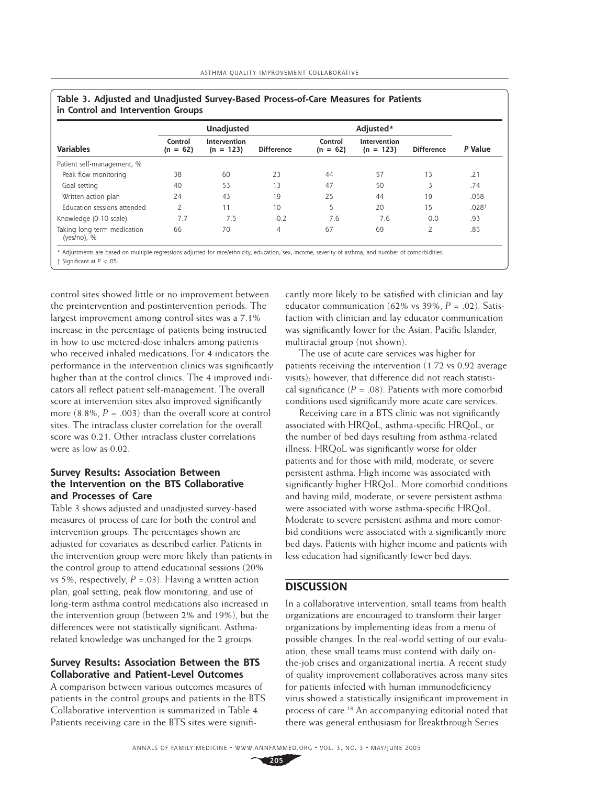|                                              | Unadjusted            |                             |                   | Adjusted*             |                             |                   |                   |
|----------------------------------------------|-----------------------|-----------------------------|-------------------|-----------------------|-----------------------------|-------------------|-------------------|
| <b>Variables</b>                             | Control<br>$(n = 62)$ | Intervention<br>$(n = 123)$ | <b>Difference</b> | Control<br>$(n = 62)$ | Intervention<br>$(n = 123)$ | <b>Difference</b> | P Value           |
| Patient self-management, %                   |                       |                             |                   |                       |                             |                   |                   |
| Peak flow monitoring                         | 38                    | 60                          | 23                | 44                    | 57                          | 13                | .21               |
| Goal setting                                 | 40                    | 53                          | 13                | 47                    | 50                          | 3                 | .74               |
| Written action plan                          | 24                    | 43                          | 19                | 25                    | 44                          | 19                | .058              |
| Education sessions attended                  | 2                     | 11                          | 10 <sup>1</sup>   | 5                     | 20                          | 15                | .028 <sup>†</sup> |
| Knowledge (0-10 scale)                       | 7.7                   | 7.5                         | $-0.2$            | 7.6                   | 7.6                         | 0.0               | .93               |
| Taking long-term medication<br>(yes/no), $%$ | 66                    | 70                          | 4                 | 67                    | 69                          | 2                 | .85               |

\* Adjustments are based on multiple regressions adjusted for race/ethnicity, education, sex, income, severity of asthma, and number of comorbidities. † Signifi cant at *P* <.05.

control sites showed little or no improvement between the preintervention and postintervention periods. The largest improvement among control sites was a 7.1% increase in the percentage of patients being instructed in how to use metered-dose inhalers among patients who received inhaled medications. For 4 indicators the performance in the intervention clinics was significantly higher than at the control clinics. The 4 improved indicators all reflect patient self-management. The overall score at intervention sites also improved significantly more  $(8.8\% , P = .003)$  than the overall score at control sites. The intraclass cluster correlation for the overall score was 0.21. Other intraclass cluster correlations were as low as 0.02.

## **Survey Results: Association Between the Intervention on the BTS Collaborative and Processes of Care**

Table 3 shows adjusted and unadjusted survey-based measures of process of care for both the control and intervention groups. The percentages shown are adjusted for covariates as described earlier. Patients in the intervention group were more likely than patients in the control group to attend educational sessions (20% vs 5%, respectively,  $P = 0.03$ ). Having a written action plan, goal setting, peak flow monitoring, and use of long-term asthma control medications also increased in the intervention group (between 2% and 19%), but the differences were not statistically significant. Asthmarelated knowledge was unchanged for the 2 groups.

## **Survey Results: Association Between the BTS Collaborative and Patient-Level Outcomes**

A comparison between various outcomes measures of patients in the control groups and patients in the BTS Collaborative intervention is summarized in Table 4. Patients receiving care in the BTS sites were significantly more likely to be satisfied with clinician and lay educator communication (62% vs 39%,  $P = .02$ ). Satisfaction with clinician and lay educator communication was significantly lower for the Asian, Pacific Islander, multiracial group (not shown).

The use of acute care services was higher for patients receiving the intervention (1.72 vs 0.92 average visits); however, that difference did not reach statistical significance  $(P = .08)$ . Patients with more comorbid conditions used significantly more acute care services.

Receiving care in a BTS clinic was not significantly associated with HRQoL, asthma-specific HRQoL, or the number of bed days resulting from asthma-related illness. HRQoL was significantly worse for older patients and for those with mild, moderate, or severe persistent asthma. High income was associated with significantly higher HRQoL. More comorbid conditions and having mild, moderate, or severe persistent asthma were associated with worse asthma-specific HRQoL. Moderate to severe persistent asthma and more comorbid conditions were associated with a significantly more bed days. Patients with higher income and patients with less education had significantly fewer bed days.

## **DISCUSSION**

In a collaborative intervention, small teams from health organizations are encouraged to transform their larger organizations by implementing ideas from a menu of possible changes. In the real-world setting of our evaluation, these small teams must contend with daily onthe-job crises and organizational inertia. A recent study of quality improvement collaboratives across many sites for patients infected with human immunodeficiency virus showed a statistically insignificant improvement in process of care.18 An accompanying editorial noted that there was general enthusiasm for Breakthrough Series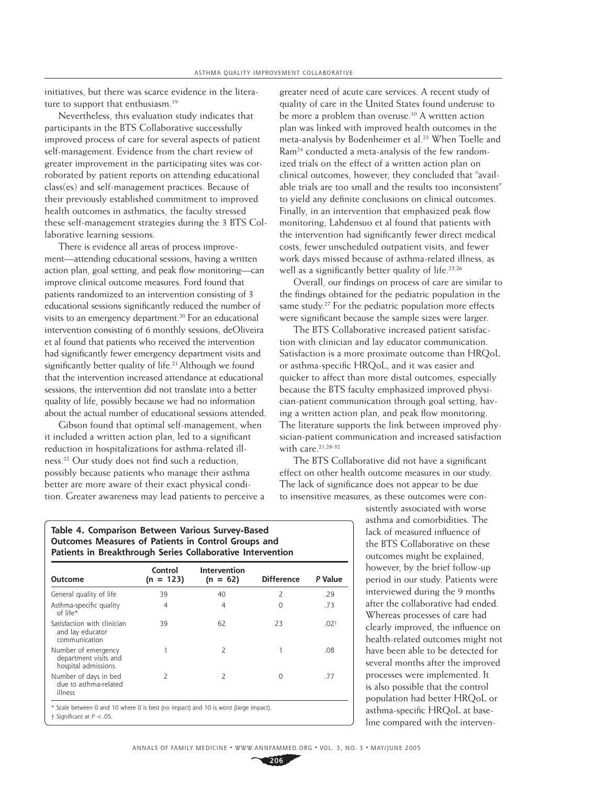initiatives, but there was scarce evidence in the literature to support that enthusiasm.<sup>19</sup>

Nevertheless, this evaluation study indicates that participants in the BTS Collaborative successfully improved process of care for several aspects of patient self-management. Evidence from the chart review of greater improvement in the participating sites was corroborated by patient reports on attending educational class(es) and self-management practices. Because of their previously established commitment to improved health outcomes in asthmatics, the faculty stressed these self-management strategies during the 3 BTS Collaborative learning sessions.

There is evidence all areas of process improvement—attending educational sessions, having a written action plan, goal setting, and peak flow monitoring—can improve clinical outcome measures. Ford found that patients randomized to an intervention consisting of 3 educational sessions significantly reduced the number of visits to an emergency department.<sup>20</sup> For an educational intervention consisting of 6 monthly sessions, deOliveira et al found that patients who received the intervention had significantly fewer emergency department visits and significantly better quality of life.<sup>21</sup> Although we found that the intervention increased attendance at educational sessions, the intervention did not translate into a better quality of life, possibly because we had no information about the actual number of educational sessions attended.

Gibson found that optimal self-management, when it included a written action plan, led to a significant reduction in hospitalizations for asthma-related illness.<sup>22</sup> Our study does not find such a reduction, possibly because patients who manage their asthma better are more aware of their exact physical condition. Greater awareness may lead patients to perceive a greater need of acute care services. A recent study of quality of care in the United States found underuse to be more a problem than overuse.<sup>10</sup> A written action plan was linked with improved health outcomes in the meta-analysis by Bodenheimer et al.<sup>23</sup> When Toelle and Ram24 conducted a meta-analysis of the few randomized trials on the effect of a written action plan on clinical outcomes, however, they concluded that "available trials are too small and the results too inconsistent" to vield any definite conclusions on clinical outcomes. Finally, in an intervention that emphasized peak flow monitoring, Lahdensuo et al found that patients with the intervention had significantly fewer direct medical costs, fewer unscheduled outpatient visits, and fewer work days missed because of asthma-related illness, as well as a significantly better quality of life.<sup>25,26</sup>

Overall, our findings on process of care are similar to the findings obtained for the pediatric population in the same study.<sup>27</sup> For the pediatric population more effects were significant because the sample sizes were larger.

The BTS Collaborative increased patient satisfaction with clinician and lay educator communication. Satisfaction is a more proximate outcome than HRQoL or asthma-specific HRQoL, and it was easier and quicker to affect than more distal outcomes, especially because the BTS faculty emphasized improved physician-patient communication through goal setting, having a written action plan, and peak flow monitoring. The literature supports the link between improved physician-patient communication and increased satisfaction with care.<sup>21,28-32</sup>

The BTS Collaborative did not have a significant effect on other health outcome measures in our study. The lack of significance does not appear to be due to insensitive measures, as these outcomes were con-

> sistently associated with worse asthma and comorbidities. The lack of measured influence of the BTS Collaborative on these outcomes might be explained, however, by the brief follow-up period in our study. Patients were interviewed during the 9 months after the collaborative had ended. Whereas processes of care had clearly improved, the influence on health-related outcomes might not have been able to be detected for several months after the improved processes were implemented. It is also possible that the control population had better HRQoL or asthma-specific HRQoL at baseline compared with the interven-

| Table 4. Comparison Between Various Survey-Based           |
|------------------------------------------------------------|
| Outcomes Measures of Patients in Control Groups and        |
| Patients in Breakthrough Series Collaborative Intervention |

| <b>Outcome</b>                                                                       | Control<br>$(n = 123)$ | Intervention<br>$(n = 62)$ | <b>Difference</b> | P Value          |
|--------------------------------------------------------------------------------------|------------------------|----------------------------|-------------------|------------------|
| General quality of life                                                              | 39                     | 40                         | 2                 | .29              |
| Asthma-specific quality<br>of life*                                                  | 4                      | 4                          | O                 | .73              |
| Satisfaction with clinician<br>and lay educator<br>communication                     | 39                     | 62                         | 23                | .02 <sup>†</sup> |
| Number of emergency<br>department visits and<br>hospital admissions                  |                        | $\overline{2}$             |                   | .08              |
| Number of days in bed<br>due to asthma-related<br>illness                            | $\overline{2}$         | 2                          | O                 | .77              |
| * Scale between 0 and 10 where 0 is best (no impact) and 10 is worst (large impact). |                        |                            |                   |                  |

† Signifi cant at *P* <.05.

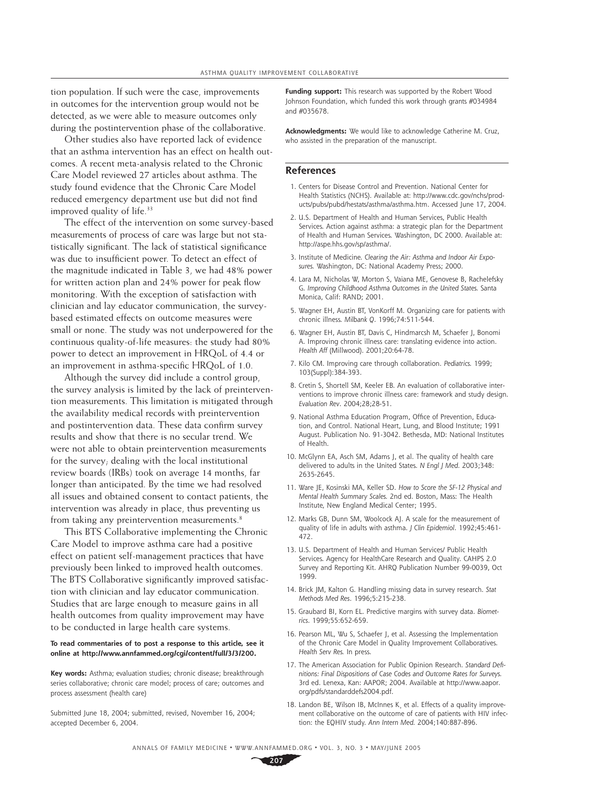tion population. If such were the case, improvements in outcomes for the intervention group would not be detected, as we were able to measure outcomes only during the postintervention phase of the collaborative.

Other studies also have reported lack of evidence that an asthma intervention has an effect on health outcomes. A recent meta-analysis related to the Chronic Care Model reviewed 27 articles about asthma. The study found evidence that the Chronic Care Model reduced emergency department use but did not find improved quality of life.<sup>33</sup>

The effect of the intervention on some survey-based measurements of process of care was large but not statistically significant. The lack of statistical significance was due to insufficient power. To detect an effect of the magnitude indicated in Table 3, we had 48% power for written action plan and 24% power for peak flow monitoring. With the exception of satisfaction with clinician and lay educator communication, the surveybased estimated effects on outcome measures were small or none. The study was not underpowered for the continuous quality-of-life measures: the study had 80% power to detect an improvement in HRQoL of 4.4 or an improvement in asthma-specific HRQoL of 1.0.

Although the survey did include a control group, the survey analysis is limited by the lack of preintervention measurements. This limitation is mitigated through the availability medical records with preintervention and postintervention data. These data confirm survey results and show that there is no secular trend. We were not able to obtain preintervention measurements for the survey; dealing with the local institutional review boards (IRBs) took on average 14 months, far longer than anticipated. By the time we had resolved all issues and obtained consent to contact patients, the intervention was already in place, thus preventing us from taking any preintervention measurements.<sup>8</sup>

This BTS Collaborative implementing the Chronic Care Model to improve asthma care had a positive effect on patient self-management practices that have previously been linked to improved health outcomes. The BTS Collaborative significantly improved satisfaction with clinician and lay educator communication. Studies that are large enough to measure gains in all health outcomes from quality improvement may have to be conducted in large health care systems.

#### **To read commentaries of to post a response to this article, see it online at http://www.annfammed.org/cgi/content/full/3/3/200.**

**Key words:** Asthma; evaluation studies; chronic disease; breakthrough series collaborative; chronic care model; process of care; outcomes and process assessment (health care)

Submitted June 18, 2004; submitted, revised, November 16, 2004; accepted December 6, 2004.

**Funding support:** This research was supported by the Robert Wood Johnson Foundation, which funded this work through grants #034984 and #035678.

**Acknowledgments:** We would like to acknowledge Catherine M. Cruz, who assisted in the preparation of the manuscript.

#### **References**

- 1. Centers for Disease Control and Prevention. National Center for Health Statistics (NCHS). Available at: http://www.cdc.gov/nchs/products/pubs/pubd/hestats/asthma/asthma.htm. Accessed June 17, 2004.
- 2. U.S. Department of Health and Human Services, Public Health Services. Action against asthma: a strategic plan for the Department of Health and Human Services. Washington, DC 2000. Available at: http://aspe.hhs.gov/sp/asthma/.
- 3. Institute of Medicine. *Clearing the Air: Asthma and Indoor Air Exposures.* Washington, DC: National Academy Press; 2000.
- 4. Lara M, Nicholas W, Morton S, Vaiana ME, Genovese B, Rachelefsky G. *Improving Childhood Asthma Outcomes in the United States.* Santa Monica, Calif: RAND; 2001.
- 5. Wagner EH, Austin BT, VonKorff M. Organizing care for patients with chronic illness. *Milbank Q*. 1996;74:511-544.
- 6. Wagner EH, Austin BT, Davis C, Hindmarcsh M, Schaefer J, Bonomi A. Improving chronic illness care: translating evidence into action. *Health Aff* (Millwood). 2001;20:64-78.
- 7. Kilo CM. Improving care through collaboration. *Pediatrics.* 1999; 103(Suppl):384-393.
- 8. Cretin S, Shortell SM, Keeler EB. An evaluation of collaborative interventions to improve chronic illness care: framework and study design. *Evaluation Rev*. 2004;28;28-51.
- 9. National Asthma Education Program, Office of Prevention, Education, and Control. National Heart, Lung, and Blood Institute; 1991 August. Publication No. 91-3042. Bethesda, MD: National Institutes of Health.
- 10. McGlynn EA, Asch SM, Adams J, et al. The quality of health care delivered to adults in the United States. *N Engl J Med.* 2003;348: 2635-2645.
- 11. Ware JE, Kosinski MA, Keller SD. *How to Score the SF-12 Physical and Mental Health Summary Scales.* 2nd ed. Boston, Mass: The Health Institute, New England Medical Center; 1995.
- 12. Marks GB, Dunn SM, Woolcock AJ. A scale for the measurement of quality of life in adults with asthma. *J Clin Epidemiol*. 1992;45:461- 472.
- 13. U.S. Department of Health and Human Services/ Public Health Services. Agency for HealthCare Research and Quality. CAHPS 2.0 Survey and Reporting Kit. AHRQ Publication Number 99-0039, Oct 1999.
- 14. Brick JM, Kalton G. Handling missing data in survey research. *Stat Methods Med Res*. 1996;5:215-238.
- 15. Graubard BI, Korn EL. Predictive margins with survey data. *Biometrics*. 1999;55:652-659.
- 16. Pearson ML, Wu S, Schaefer J, et al. Assessing the Implementation of the Chronic Care Model in Quality Improvement Collaboratives. *Health Serv Res.* In press.
- 17. The American Association for Public Opinion Research. *Standard Defi nitions: Final Dispositions of Case Codes and Outcome Rates for Surveys.*  3rd ed. Lenexa, Kan: AAPOR; 2004. Available at http://www.aapor. org/pdfs/standarddefs2004.pdf.
- 18. Landon BE, Wilson IB, McInnes K¸ et al. Effects of a quality improvement collaborative on the outcome of care of patients with HIV infection: the EQHIV study. *Ann Intern Med.* 2004;140:887-896.